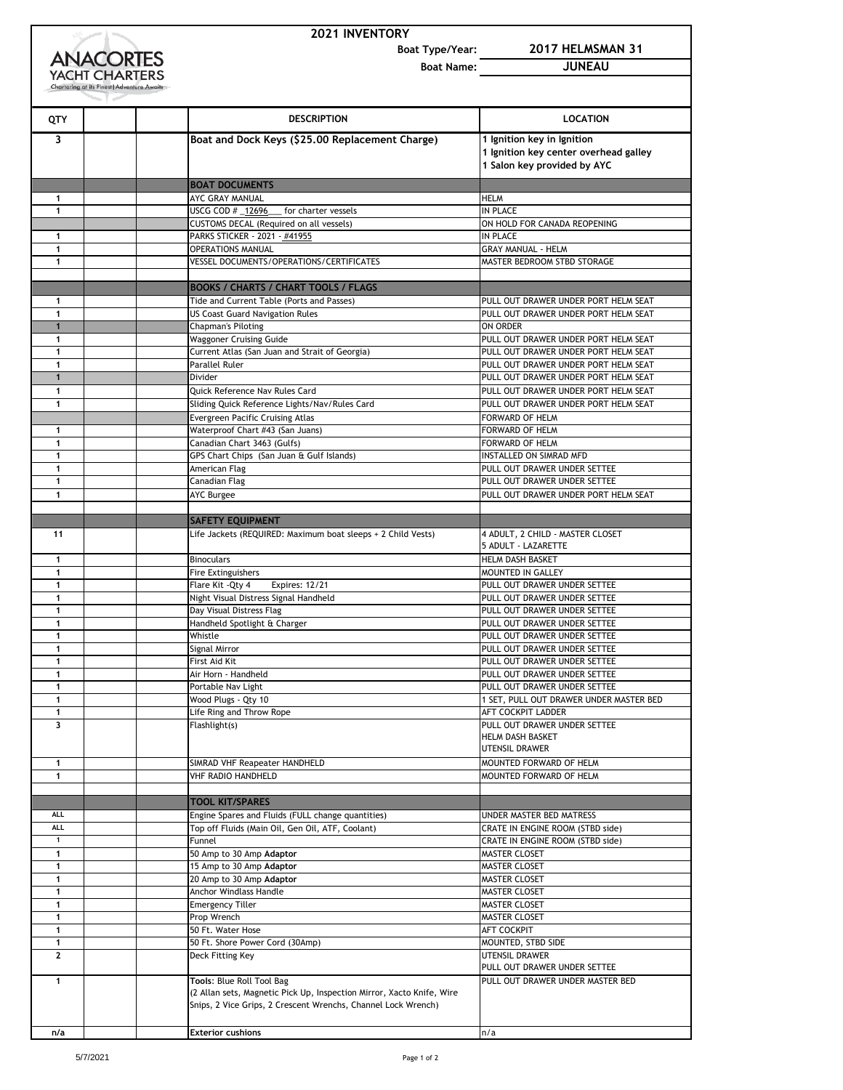|  | <b>2021 INVENTORY</b> |
|--|-----------------------|
|--|-----------------------|

**Boat Type/Year: 2017 HELMSMAN 31**

**ANACORTES Boat Name: JUNEAU** YACHT CHARTERS **QTY DESCRIPTION LOCATION Boat and Dock Keys (\$25.00 Replacement Charge) 1 Ignition key in Ignition 1 Ignition key center overhead galley 1 Salon key provided by AYC BOAT DOCUMENTS I** AYC GRAY MANUAL **HELM**  USCG COD #  $\frac{12696}{ }$  for charter vessels IN PLACE CUSTOMS DECAL (Required on all vessels) ON HOLD FOR CANADA REOPENING **PARKS STICKER** - 2021 - <u>#41955</u> **IN PLACE**  OPERATIONS MANUAL GRAY MANUAL - HELM **1** VESSEL DOCUMENTS/OPERATIONS/CERTIFICATES MASTER BEDROOM STBD STORAGE **BOOKS / CHARTS / CHART TOOLS / FLAGS**  Tide and Current Table (Ports and Passes) PULL OUT DRAWER UNDER PORT HELM SEAT US Coast Guard Navigation Rules **PULL OUT DRAWER UNDER PORT HELM SEAT 1 Chapman's Piloting Constant Constant Constant Constant Constant Constant Constant Constant Constant Constant Constant Constant Constant Constant Constant Constant Constant Constant Constant Constant Constant Const**  Waggoner Cruising Guide **PULL OUT DRAWER UNDER PORT HELM SEAT**  Current Atlas (San Juan and Strait of Georgia) PULL OUT DRAWER UNDER PORT HELM SEAT Parallel Ruler **Parallel Ruler PULL OUT DRAWER UNDER PORT HELM SEAT 1** Divider PULL OUT DRAWER UNDER PORT HELM SEAT Quick Reference Nav Rules Card **PULL OUT DRAWER UNDER PORT HELM SEAT** 1 Sliding Quick Reference Lights/Nav/Rules Card PULL OUT DRAWER UNDER PORT HELM SEAT Evergreen Pacific Cruising Atlas **FORWARD OF HELM**  Waterproof Chart #43 (San Juans) FORWARD OF HELM **Canadian Chart 3463 (Gulfs) Canadian Chart 3463 (Gulfs) FORWARD OF HELM**  GPS Chart Chips (San Juan & Gulf Islands) **INSTALLED ON SIMRAD MFD 1** American Flag **American Flag PULL OUT DRAWER UNDER SETTEE**<br> **1 American Flag PULL OUT DRAWER UNDER SETTEE**  PULL OUT DRAWER UNDER SETTEE AYC Burgee **PULL OUT DRAWER UNDER PORT HELM SEAT SAFETY EQUIPMENT** 11 Life Jackets (REQUIRED: Maximum boat sleeps + 2 Child Vests) 4 ADULT, 2 CHILD - MASTER CLOSET 5 ADULT - LAZARETTE Binoculars **HELM DASH BASKET 1 Fire Extinguishers MOUNTED IN GALLEY Flare Kit -Qty 4** Expires: 12/21 **PULL OUT DRAWER UNDER SETTEE**  Night Visual Distress Signal Handheld **PULL OUT DRAWER UNDER SETTEE**  Day Visual Distress Flag **PULL OUT DRAWER UNDER SETTEE Handheld Spotlight & Charger PULL OUT DRAWER UNDER SETTEE**  Whistle **PULL OUT DRAWER UNDER SETTEE**  Signal Mirror **PULL OUT DRAWER UNDER SETTEE First Aid Kit PULL OUT DRAWER UNDER SETTEE 1 Air Horn - Handheld PULL OUT DRAWER UNDER SETTEE**  Portable Nav Light **Portable Nav Light** PuLL OUT DRAWER UNDER SETTEE Nood Plugs - Qty 10 1 SET, PULL OUT DRAWER UNDER MASTER BED Life Ring and Throw Rope **AFT COCKPIT LADDER**  PULL OUT DRAWER UNDER SETTEE HELM DASH BASKET UTENSIL DRAWER SIMRAD VHF Reapeater HANDHELD MOUNTED FORWARD OF HELM VHF RADIO HANDHELD MOUNTED FORWARD OF HELM **TOOL KIT/SPARES ALL** Engine Spares and Fluids (FULL change quantities) UNDER MASTER BED MATRESS ALL **Top off Fluids (Main Oil, Gen Oil, ATF, Coolant)** CRATE IN ENGINE ROOM (STBD side) Funnel CRATE IN ENGINE ROOM (STBD side) 50 Amp to 30 Amp Adaptor MASTER CLOSET 15 Amp to 30 Amp **Adaptor** MASTER CLOSET 20 Amp to 30 Amp **Adaptor** MASTER CLOSET **1 Anchor Windlass Handle MASTER CLOSET MASTER CLOSET**  AMSTER CLOSET NASTER CLOSET **1** 50 Ft. Water Hose **AFT COCKPIT**  50 Ft. Shore Power Cord (30Amp) MOUNTED, STBD SIDE Deck Fitting Key **Deck Fitting Key UTENSIL DRAWER** PULL OUT DRAWER UNDER SETTEE **Tools**: Blue Roll Tool Bag PULL OUT DRAWER UNDER MASTER BED (2 Allan sets, Magnetic Pick Up, Inspection Mirror, Xacto Knife, Wire Snips, 2 Vice Grips, 2 Crescent Wrenchs, Channel Lock Wrench) **n/a Exterior cushions** n/a